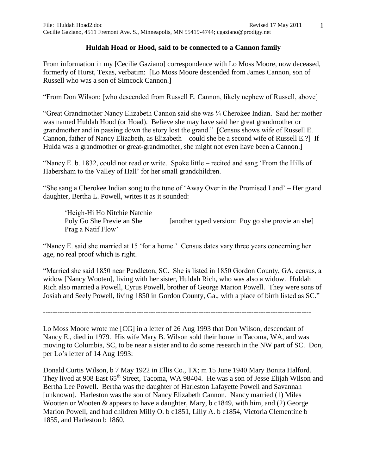## **Huldah Hoad or Hood, said to be connected to a Cannon family**

From information in my [Cecilie Gaziano] correspondence with Lo Moss Moore, now deceased, formerly of Hurst, Texas, verbatim: [Lo Moss Moore descended from James Cannon, son of Russell who was a son of Simcock Cannon.]

"From Don Wilson: [who descended from Russell E. Cannon, likely nephew of Russell, above]

"Great Grandmother Nancy Elizabeth Cannon said she was ¼ Cherokee Indian. Said her mother was named Huldah Hood (or Hoad). Believe she may have said her great grandmother or grandmother and in passing down the story lost the grand." [Census shows wife of Russell E. Cannon, father of Nancy Elizabeth, as Elizabeth – could she be a second wife of Russell E.?] If Hulda was a grandmother or great-grandmother, she might not even have been a Cannon.]

"Nancy E. b. 1832, could not read or write. Spoke little – recited and sang 'From the Hills of Habersham to the Valley of Hall' for her small grandchildren.

"She sang a Cherokee Indian song to the tune of 'Away Over in the Promised Land' – Her grand daughter, Bertha L. Powell, writes it as it sounded:

'Heigh-Hi Ho Nitchie Natchie Poly Go She Previe an She [another typed version: Poy go she provie an she] Prag a Natif Flow'

"Nancy E. said she married at 15 'for a home.' Census dates vary three years concerning her age, no real proof which is right.

"Married she said 1850 near Pendleton, SC. She is listed in 1850 Gordon County, GA, census, a widow [Nancy Wooten], living with her sister, Huldah Rich, who was also a widow. Huldah Rich also married a Powell, Cyrus Powell, brother of George Marion Powell. They were sons of Josiah and Seely Powell, living 1850 in Gordon County, Ga., with a place of birth listed as SC."

----------------------------------------------------------------------------------------------------------------

Lo Moss Moore wrote me [CG] in a letter of 26 Aug 1993 that Don Wilson, descendant of Nancy E., died in 1979. His wife Mary B. Wilson sold their home in Tacoma, WA, and was moving to Columbia, SC, to be near a sister and to do some research in the NW part of SC. Don, per Lo's letter of 14 Aug 1993:

Donald Curtis Wilson, b 7 May 1922 in Ellis Co., TX; m 15 June 1940 Mary Bonita Halford. They lived at 908 East 65<sup>th</sup> Street, Tacoma, WA 98404. He was a son of Jesse Elijah Wilson and Bertha Lee Powell. Bertha was the daughter of Harleston Lafayette Powell and Savannah [unknown]. Harleston was the son of Nancy Elizabeth Cannon. Nancy married (1) Miles Wootten or Wooten & appears to have a daughter, Mary, b c1849, with him, and (2) George Marion Powell, and had children Milly O. b c1851, Lilly A. b c1854, Victoria Clementine b 1855, and Harleston b 1860.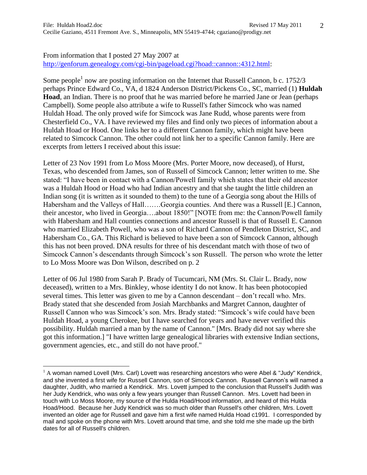## From information that I posted 27 May 2007 at [http://genforum.genealogy.com/cgi-bin/pageload.cgi?hoad::cannon::4312.html:](http://genforum.genealogy.com/cgi-bin/pageload.cgi?hoad::cannon::4312.html)

Some people<sup>1</sup> now are posting information on the Internet that Russell Cannon, b c. 1752/3 perhaps Prince Edward Co., VA, d 1824 Anderson District/Pickens Co., SC, married (1) **Huldah Hoad**, an Indian. There is no proof that he was married before he married Jane or Jean (perhaps Campbell). Some people also attribute a wife to Russell's father Simcock who was named Huldah Hoad. The only proved wife for Simcock was Jane Rudd, whose parents were from Chesterfield Co., VA. I have reviewed my files and find only two pieces of information about a Huldah Hoad or Hood. One links her to a different Cannon family, which might have been related to Simcock Cannon. The other could not link her to a specific Cannon family. Here are excerpts from letters I received about this issue:

Letter of 23 Nov 1991 from Lo Moss Moore (Mrs. Porter Moore, now deceased), of Hurst, Texas, who descended from James, son of Russell of Simcock Cannon; letter written to me. She stated: "I have been in contact with a Cannon/Powell family which states that their old ancestor was a Huldah Hood or Hoad who had Indian ancestry and that she taught the little children an Indian song (it is written as it sounded to them) to the tune of a Georgia song about the Hills of Habersham and the Valleys of Hall…….Georgia counties. And there was a Russell [E.] Cannon, their ancestor, who lived in Georgia….about 1850!" [NOTE from me: the Cannon/Powell family with Habersham and Hall counties connections and ancestor Russell is that of Russell E. Cannon who married Elizabeth Powell, who was a son of Richard Cannon of Pendleton District, SC, and Habersham Co., GA. This Richard is believed to have been a son of Simcock Cannon, although this has not been proved. DNA results for three of his descendant match with those of two of Simcock Cannon's descendants through Simcock's son Russell. The person who wrote the letter to Lo Moss Moore was Don Wilson, described on p. 2

Letter of 06 Jul 1980 from Sarah P. Brady of Tucumcari, NM (Mrs. St. Clair L. Brady, now deceased), written to a Mrs. Binkley, whose identity I do not know. It has been photocopied several times. This letter was given to me by a Cannon descendant – don't recall who. Mrs. Brady stated that she descended from Josiah Marchbanks and Margret Cannon, daughter of Russell Cannon who was Simcock's son. Mrs. Brady stated: "Simcock's wife could have been Huldah Hoad, a young Cherokee, but I have searched for years and have never verified this possibility. Huldah married a man by the name of Cannon." [Mrs. Brady did not say where she got this information.] "I have written large genealogical libraries with extensive Indian sections, government agencies, etc., and still do not have proof."

 $\overline{a}$ 

 $1$  A woman named Lovell (Mrs. Carl) Lovett was researching ancestors who were Abel & "Judy" Kendrick, and she invented a first wife for Russell Cannon, son of Simcock Cannon. Russell Cannon's will named a daughter, Judith, who married a Kendrick. Mrs. Lovett jumped to the conclusion that Russell's Judith was her Judy Kendrick, who was only a few years younger than Russell Cannon. Mrs. Lovett had been in touch with Lo Moss Moore, my source of the Hulda Hoad/Hood information, and heard of this Hulda Hoad/Hood. Because her Judy Kendrick was so much older than Russell's other children, Mrs. Lovett invented an older age for Russell and gave him a first wife named Hulda Hoad c1991. I corresponded by mail and spoke on the phone with Mrs. Lovett around that time, and she told me she made up the birth dates for all of Russell's children.